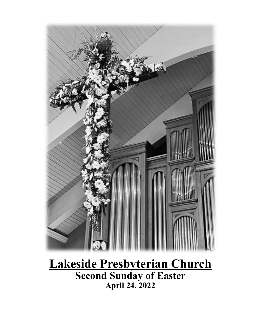

**Lakeside Presbyterian Church Second Sunday of Easter April 24, 2022**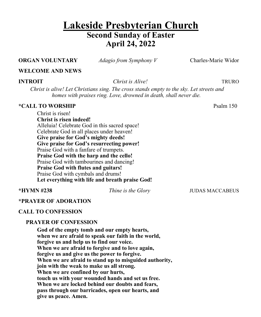# **Lakeside Presbyterian Church Second Sunday of Easter April 24, 2022**

## **ORGAN VOLUNTARY** *Adagio from Symphony V* Charles-Marie Widor

## **WELCOME AND NEWS**

**INTROIT** *Christ is Alive!* TRURO

*Christ is alive! Let Christians sing. The cross stands empty to the sky. Let streets and homes with praises ring. Love, drowned in death, shall never die.*

### **\*CALL TO WORSHIP** Psalm 150

Christ is risen! **Christ is risen indeed!** Alleluia! Celebrate God in this sacred space! Celebrate God in all places under heaven! **Give praise for God's mighty deeds! Give praise for God's resurrecting power!** Praise God with a fanfare of trumpets. **Praise God with the harp and the cello!** Praise God with tambourines and dancing! **Praise God with flutes and guitars!** Praise God with cymbals and drums! **Let everything with life and breath praise God!**

**\*HYMN #238** *Thine is the Glory* JUDAS MACCABEUS

#### **\*PRAYER OF ADORATION**

# **CALL TO CONFESSION**

#### **PRAYER OF CONFESSION**

**God of the empty tomb and our empty hearts, when we are afraid to speak our faith in the world, forgive us and help us to find our voice. When we are afraid to forgive and to love again, forgive us and give us the power to forgive. When we are afraid to stand up to misguided authority, join with the weak to make us all strong. When we are confined by our hurts, touch us with your wounded hands and set us free. When we are locked behind our doubts and fears, pass through our barricades, open our hearts, and give us peace. Amen.**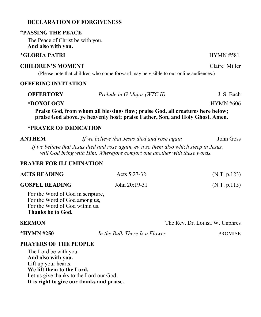# **DECLARATION OF FORGIVENESS**

#### **\*PASSING THE PEACE**

The Peace of Christ be with you. **And also with you.**

#### **\*GLORIA PATRI** HYMN #581

#### **CHILDREN'S MOMENT** Claire Miller

(Please note that children who come forward may be visible to our online audiences.)

# **OFFERING INVITATION**

|                                                                                 | praise God above, ye heavenly host; praise Father, Son, and Holy Ghost. Amen. |                  |  |  |
|---------------------------------------------------------------------------------|-------------------------------------------------------------------------------|------------------|--|--|
| Praise God, from whom all blessings flow; praise God, all creatures here below; |                                                                               |                  |  |  |
| *DOXOLOGY                                                                       |                                                                               | <b>HYMN #606</b> |  |  |
| <b>OFFERTORY</b>                                                                | Prelude in G Major (WTC II)                                                   | J. S. Bach       |  |  |

#### **\*PRAYER OF DEDICATION**

**ANTHEM** *If we believe that Jesus died and rose again* John Goss

*If we believe that Jesus died and rose again, ev'n so them also which sleep in Jesus, will God bring with Him. Wherefore comfort one another with these words.*

## **PRAYER FOR ILLUMINATION**

| <b>ACTS READING</b>                                                                                                                                                                                                                                                                              | Acts $5:27-32$ | (N.T. p.123) |
|--------------------------------------------------------------------------------------------------------------------------------------------------------------------------------------------------------------------------------------------------------------------------------------------------|----------------|--------------|
| <b>GOSPEL READING</b>                                                                                                                                                                                                                                                                            | John 20:19-31  | (N.T. p.115) |
| $\mathbf{r}$ and $\mathbf{r}$ and $\mathbf{r}$ and $\mathbf{r}$ and $\mathbf{r}$ and $\mathbf{r}$ and $\mathbf{r}$ and $\mathbf{r}$ and $\mathbf{r}$ and $\mathbf{r}$ and $\mathbf{r}$ and $\mathbf{r}$ and $\mathbf{r}$ and $\mathbf{r}$ and $\mathbf{r}$ and $\mathbf{r}$ and $\mathbf{r}$ and |                |              |

For the Word of God in scripture, For the Word of God among us, For the Word of God within us. **Thanks be to God.**

## **SERMON** The Rev. Dr. Louisa W. Unphres

**\*HYMN #250** *In the Bulb There Is a Flower* PROMISE

#### **PRAYERS OF THE PEOPLE**

The Lord be with you. **And also with you.** Lift up your hearts. **We lift them to the Lord.** Let us give thanks to the Lord our God. **It is right to give our thanks and praise.**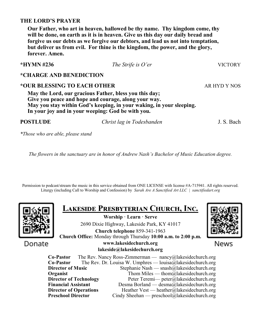# **THE LORD'S PRAYER**

**Our Father, who art in heaven, hallowed be thy name. Thy kingdom come, thy will be done, on earth as it is in heaven. Give us this day our daily bread and forgive us our debts as we forgive our debtors, and lead us not into temptation, but deliver us from evil. For thine is the kingdom, the power, and the glory, forever. Amen.**

**\*HYMN #236** *The Strife is O'er* VICTORY

**\*CHARGE AND BENEDICTION**

# **\*OUR BLESSING TO EACH OTHER** AR HYD Y NOS

**May the Lord, our gracious Father, bless you this day; Give you peace and hope and courage, along your way. May you stay within God's keeping, in your waking, in your sleeping. In your joy and in your weeping: God be with you.**

**POSTLUDE** *Christ lag in Todesbanden* J. S. Bach

*\*Those who are able, please stand*

*The flowers in the sanctuary are in honor of Andrew Nash's Bachelor of Music Education degree.*

Permission to podcast/stream the music in this service obtained from ONE LICENSE with license #A-715941. All rights reserved. Liturgy (including Call to Worship and Confession) by *Sarah Are A Sanctified Art LLC | sanctifiedart.org*



**Lakeside Presbyterian Church, Inc.** 

**Worship · Learn · Serve** 2690 Dixie Highway, Lakeside Park, KY 41017

**Church telephone** 859-341-1963 **Church Office:** Monday through Thursday **10:00 a.m. to 2:00 p.m.**



News

Donate

#### **www.lakesidechurch.org lakeside@lakesidechurch.org**

**Co-Pastor** The Rev. Nancy Ross-Zimmerman — nancy@lakesidechurch.org **Co-Pastor** The Rev. Dr. Louisa W. Umphres — louisa@lakesidechurch.org **Director of Music** Stephanie Nash — snash@lakesidechurch.org **Organist** Thom Miles — thom alakesidechurch.org **Director of Technology** Peter Teremi— peter@lakesidechurch.org<br> **Financial Assistant** Desma Borland — desma@lakesidechurch.org Desma Borland — desma@lakesidechurch.org **Director of Operations** Heather Vest — heather@lakesidechurch.org<br> **Preschool Director** Cindy Sheehan — preschool@lakesidechurch.org Cindy Sheehan — preschool@lakesidechurch.org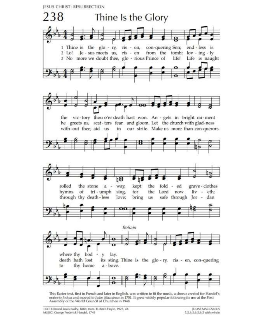JESUS CHRIST: RESURRECTION



This Easter text, first in French and later in English, was written to fit the music, a chorus created for Handel's oratorio Joshua and moved to Judas Maccabeus in 1751. It grew widely popular following its use at the First Assembly of the World Council of Churches in 1948.

TEXT: Edmond Louis Budry, 1884; trans. R. Birch Hoyle, 1923, alt. MUSIC: George Frederick Handel, 1748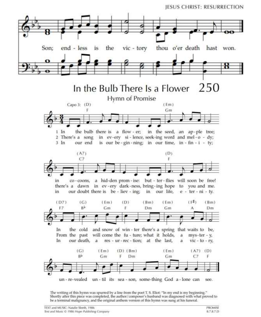



The writing of this hymn was spurred by a line from the poet T. S. Eliot: "In my end is my beginning." Shortly after this piece was completed, the author/composer's husband was diagnosed with what proved to be a terminal malignancy, and the original anthem version of this hymn was sung at his funeral.